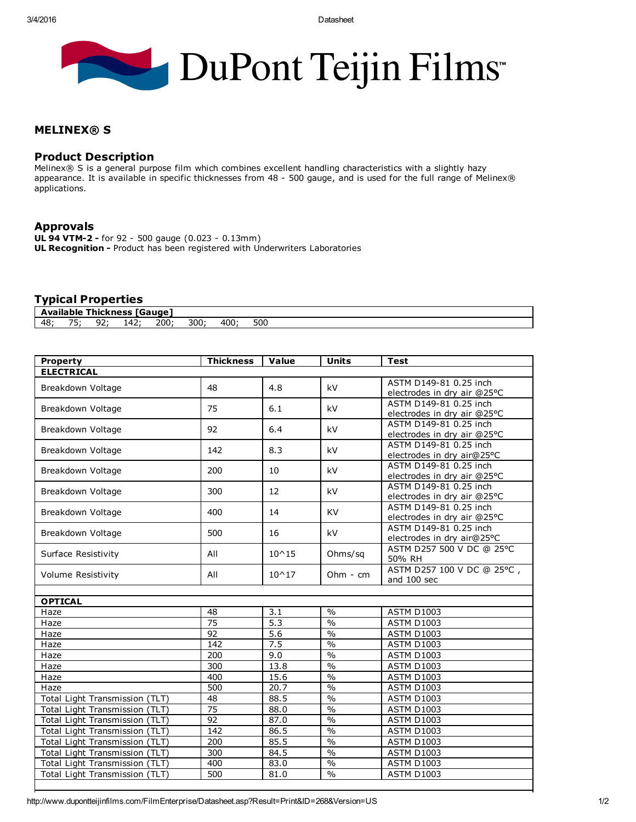# DuPont Teijin Films

#### MELINEX® S

#### Product Description

Melinex® S is a general purpose film which combines excellent handling characteristics with a slightly hazy appearance. It is available in specific thicknesses from 48 - 500 gauge, and is used for the full range of Melinex® applications.

## Approvals

UL 94 VTM-2 - for  $92 - 500$  gauge (0.023 - 0.13mm) UL Recognition - Product has been registered with Underwriters Laboratories

## Typical Properties

| AΝ        | ıble<br>на | <b>Thickness</b>    | 15 J     | Gauge |     |     |     |  |
|-----------|------------|---------------------|----------|-------|-----|-----|-----|--|
| AB<br>90. | --         | $\sim$ $\sim$<br>-- | !42<br>- | 200:  | 300 | 400 | 500 |  |

| Property                       | <b>Thickness</b> | Value            | <b>Units</b>             | <b>Test</b>                                           |
|--------------------------------|------------------|------------------|--------------------------|-------------------------------------------------------|
| <b>ELECTRICAL</b>              |                  |                  |                          |                                                       |
| Breakdown Voltage              | 48               | 4.8              | kV                       | ASTM D149-81 0.25 inch                                |
|                                |                  |                  |                          | electrodes in dry air @25°C                           |
| Breakdown Voltage              | 75               | 6.1              | kV                       | ASTM D149-81 0.25 inch<br>electrodes in dry air @25°C |
|                                |                  | 6.4              | kV                       | ASTM D149-81 0.25 inch                                |
| Breakdown Voltage              | 92               |                  |                          | electrodes in dry air @25°C                           |
|                                |                  |                  |                          | ASTM D149-81 0.25 inch                                |
| Breakdown Voltage              | 142              | 8.3              | kV                       | electrodes in dry air@25°C                            |
| Breakdown Voltage              | 200              | 10               | kV                       | ASTM D149-81 0.25 inch                                |
|                                |                  |                  |                          | electrodes in dry air @25°C                           |
| Breakdown Voltage              | 300              | 12               | kV                       | ASTM D149-81 0.25 inch                                |
|                                |                  |                  |                          | electrodes in dry air @25°C                           |
| Breakdown Voltage              | 400              | 14               | <b>KV</b>                | ASTM D149-81 0.25 inch                                |
|                                |                  |                  |                          | electrodes in dry air @25°C                           |
| Breakdown Voltage              | 500              | 16               | kV                       | ASTM D149-81 0.25 inch                                |
|                                |                  |                  |                          | electrodes in dry air@25°C                            |
| Surface Resistivity            | All              | $10^{\circ}15$   | Ohms/sq                  | ASTM D257 500 V DC @ 25°C                             |
|                                |                  |                  |                          | 50% RH                                                |
| Volume Resistivity             | All              | $10^{0.17}$      | $Ohm - cm$               | ASTM D257 100 V DC @ 25°C,                            |
|                                |                  |                  |                          | and 100 sec                                           |
| <b>OPTICAL</b>                 |                  |                  |                          |                                                       |
| Haze                           | 48               | 3.1              | $\frac{0}{0}$            | <b>ASTM D1003</b>                                     |
| Haze                           | $\overline{75}$  | 5.3              | $\frac{0}{0}$            | <b>ASTM D1003</b>                                     |
| Haze                           | 92               | $\overline{5.6}$ | $\frac{0}{0}$            | <b>ASTM D1003</b>                                     |
| Haze                           | 142              | 7.5              | $\%$                     | ASTM D1003                                            |
| Haze                           | $\overline{200}$ | 9.0              | $\frac{0}{0}$            | <b>ASTM D1003</b>                                     |
| Haze                           | 300              | 13.8             | $\frac{0}{0}$            | <b>ASTM D1003</b>                                     |
| Haze                           | 400              | 15.6             | $\frac{0}{0}$            | <b>ASTM D1003</b>                                     |
| Haze                           | 500              | 20.7             | $\frac{0}{0}$            | <b>ASTM D1003</b>                                     |
| Total Light Transmission (TLT) | 48               | 88.5             | $\overline{\frac{0}{0}}$ | <b>ASTM D1003</b>                                     |
| Total Light Transmission (TLT) | $\overline{75}$  | 88.0             | $\frac{0}{0}$            | <b>ASTM D1003</b>                                     |
| Total Light Transmission (TLT) | 92               | 87.0             | $\frac{0}{0}$            | <b>ASTM D1003</b>                                     |
| Total Light Transmission (TLT) | 142              | 86.5             | $\frac{0}{0}$            | <b>ASTM D1003</b>                                     |
| Total Light Transmission (TLT) | 200              | 85.5             | $\frac{0}{0}$            | <b>ASTM D1003</b>                                     |
| Total Light Transmission (TLT) | 300              | 84.5             | $\overline{\frac{0}{6}}$ | <b>ASTM D1003</b>                                     |
| Total Light Transmission (TLT) | 400              | 83.0             | $\frac{0}{0}$            | <b>ASTM D1003</b>                                     |
| Total Light Transmission (TLT) | 500              | 81.0             | $\frac{0}{0}$            | <b>ASTM D1003</b>                                     |
|                                |                  |                  |                          |                                                       |